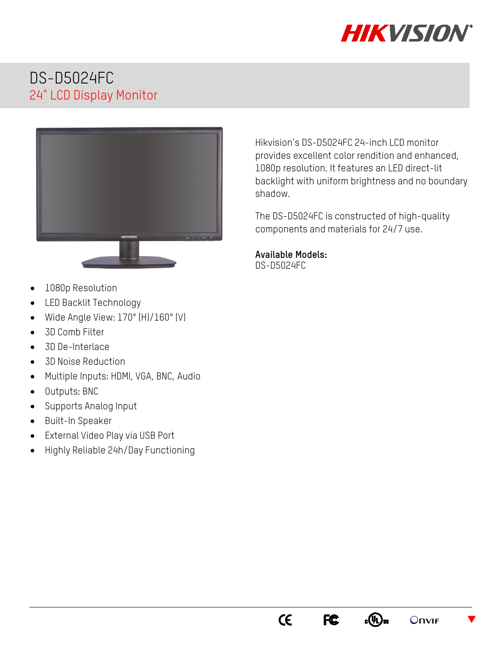

 $\blacktriangledown$ 

**Onvir** 

# DS-D5024FC 24" LCD Display Monitor



- 1080p Resolution
- LED Backlit Technology
- Wide Angle View: 170° (H)/160° (V)
- 3D Comb Filter
- 3D De-Interlace
- 3D Noise Reduction
- Multiple Inputs: HDMI, VGA, BNC, Audio
- Outputs: BNC
- Supports Analog Input
- Built-In Speaker
- External Video Play via USB Port
- Highly Reliable 24h/Day Functioning

Hikvision's DS-D5024FC 24-inch LCD monitor provides excellent color rendition and enhanced, 1080p resolution. It features an LED direct-lit backlight with uniform brightness and no boundary shadow.

The DS-D5024FC is constructed of high-quality components and materials for 24/7 use.

#### **Available Models:**  DS-D5024FC

 $C\epsilon$ 

FC<sub>c</sub>

 $_{c}(\Psi _{L})_{us}$